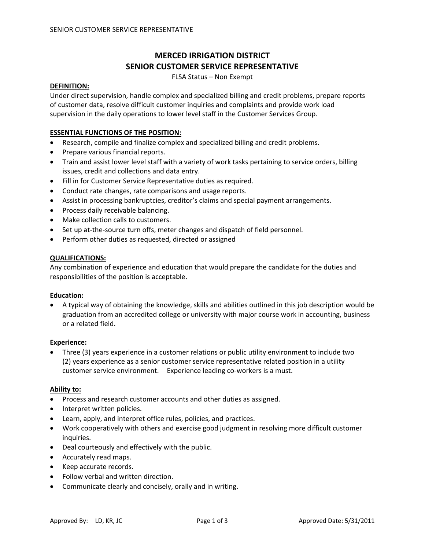# **MERCED IRRIGATION DISTRICT SENIOR CUSTOMER SERVICE REPRESENTATIVE**

FLSA Status – Non Exempt

#### **DEFINITION:**

Under direct supervision, handle complex and specialized billing and credit problems, prepare reports of customer data, resolve difficult customer inquiries and complaints and provide work load supervision in the daily operations to lower level staff in the Customer Services Group.

#### **ESSENTIAL FUNCTIONS OF THE POSITION:**

- Research, compile and finalize complex and specialized billing and credit problems.
- Prepare various financial reports.
- Train and assist lower level staff with a variety of work tasks pertaining to service orders, billing issues, credit and collections and data entry.
- Fill in for Customer Service Representative duties as required.
- Conduct rate changes, rate comparisons and usage reports.
- Assist in processing bankruptcies, creditor's claims and special payment arrangements.
- Process daily receivable balancing.
- Make collection calls to customers.
- Set up at-the-source turn offs, meter changes and dispatch of field personnel.
- Perform other duties as requested, directed or assigned

### **QUALIFICATIONS:**

Any combination of experience and education that would prepare the candidate for the duties and responsibilities of the position is acceptable.

#### **Education:**

• A typical way of obtaining the knowledge, skills and abilities outlined in this job description would be graduation from an accredited college or university with major course work in accounting, business or a related field.

### **Experience:**

• Three (3) years experience in a customer relations or public utility environment to include two (2) years experience as a senior customer service representative related position in a utility customer service environment. Experience leading co‐workers is a must.

#### **Ability to:**

- Process and research customer accounts and other duties as assigned.
- Interpret written policies.
- Learn, apply, and interpret office rules, policies, and practices.
- Work cooperatively with others and exercise good judgment in resolving more difficult customer inquiries.
- Deal courteously and effectively with the public.
- Accurately read maps.
- Keep accurate records.
- Follow verbal and written direction.
- Communicate clearly and concisely, orally and in writing.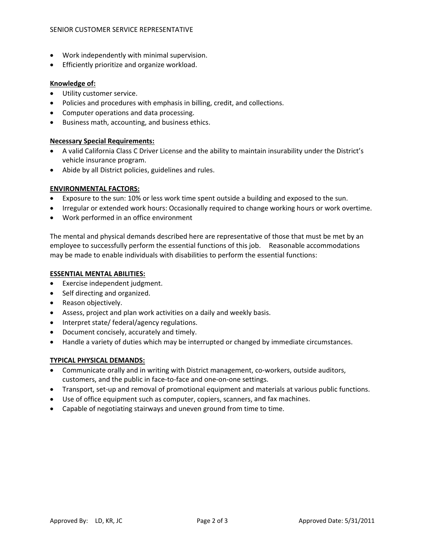- Work independently with minimal supervision.
- Efficiently prioritize and organize workload.

### **Knowledge of:**

- Utility customer service.
- Policies and procedures with emphasis in billing, credit, and collections.
- Computer operations and data processing.
- Business math, accounting, and business ethics.

### **Necessary Special Requirements:**

- A valid California Class C Driver License and the ability to maintain insurability under the District's vehicle insurance program.
- Abide by all District policies, guidelines and rules.

### **ENVIRONMENTAL FACTORS:**

- Exposure to the sun: 10% or less work time spent outside a building and exposed to the sun.
- Irregular or extended work hours: Occasionally required to change working hours or work overtime.
- Work performed in an office environment

The mental and physical demands described here are representative of those that must be met by an employee to successfully perform the essential functions of this job. Reasonable accommodations may be made to enable individuals with disabilities to perform the essential functions:

### **ESSENTIAL MENTAL ABILITIES:**

- Exercise independent judgment.
- Self directing and organized.
- Reason objectively.
- Assess, project and plan work activities on a daily and weekly basis.
- Interpret state/ federal/agency regulations.
- Document concisely, accurately and timely.
- Handle a variety of duties which may be interrupted or changed by immediate circumstances.

### **TYPICAL PHYSICAL DEMANDS:**

- Communicate orally and in writing with District management, co-workers, outside auditors, customers, and the public in face‐to‐face and one‐on‐one settings.
- Transport, set-up and removal of promotional equipment and materials at various public functions.
- Use of office equipment such as computer, copiers, scanners, and fax machines.
- Capable of negotiating stairways and uneven ground from time to time.